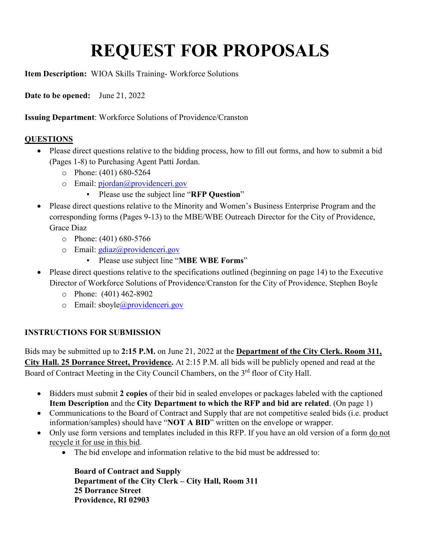# REQUEST FOR PROPOSALS

Item Description: WIOA Skills Training- Workforce Solutions

Date to be opened: June 21, 2022

Issuing Department: Workforce Solutions of Providence/Cranston

# QUESTIONS

- Please direct questions relative to the bidding process, how to fill out forms, and how to submit a bid (Pages 1-8) to Purchasing Agent Patti Jordan.
	- o Phone: (401) 680-5264
	- o Email: pjordan@providenceri.gov
		- Please use the subject line "RFP Question"
- Please direct questions relative to the Minority and Women's Business Enterprise Program and the corresponding forms (Pages 9-13) to the MBE/WBE Outreach Director for the City of Providence, Grace Diaz
	- o Phone: (401) 680-5766
	- o Email: gdiaz@providenceri.gov
		- Please use subject line "MBE WBE Forms"
- Please direct questions relative to the specifications outlined (beginning on page 14) to the Executive Director of Workforce Solutions of Providence/Cranston for the City of Providence, Stephen Boyle
	- o Phone: (401) 462-8902
	- $\circ$  Email: sboyle@providenceri.gov

# INSTRUCTIONS FOR SUBMISSION

Bids may be submitted up to 2:15 P.M. on June 21, 2022 at the Department of the City Clerk. Room 311, City Hall. 25 Dorrance Street, Providence. At 2:15 P.M. all bids will be publicly opened and read at the Board of Contract Meeting in the City Council Chambers, on the 3<sup>rd</sup> floor of City Hall.

- Bidders must submit 2 copies of their bid in sealed envelopes or packages labeled with the captioned Item Description and the City Department to which the RFP and bid are related. (On page 1)
- Communications to the Board of Contract and Supply that are not competitive sealed bids (i.e. product information/samples) should have "NOT A BID" written on the envelope or wrapper.
- Only use form versions and templates included in this RFP. If you have an old version of a form do not recycle it for use in this bid.
	- The bid envelope and information relative to the bid must be addressed to:

Board of Contract and Supply Department of the City Clerk – City Hall, Room 311 25 Dorrance Street Providence, RI 02903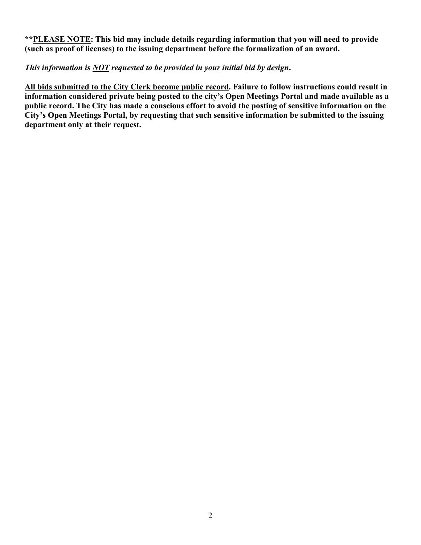\*\*PLEASE NOTE: This bid may include details regarding information that you will need to provide (such as proof of licenses) to the issuing department before the formalization of an award.

This information is <u>NOT</u> requested to be provided in your initial bid by design.<br>All bids submitted to the City Clerk become public record. Failure to follow instructions could result in information considered private being posted to the city's Open Meetings Portal and made available as a public record. The City has made a conscious effort to avoid the posting of sensitive information on the City's Open Meetings Portal, by requesting that such sensitive information be submitted to the issuing department only at their request.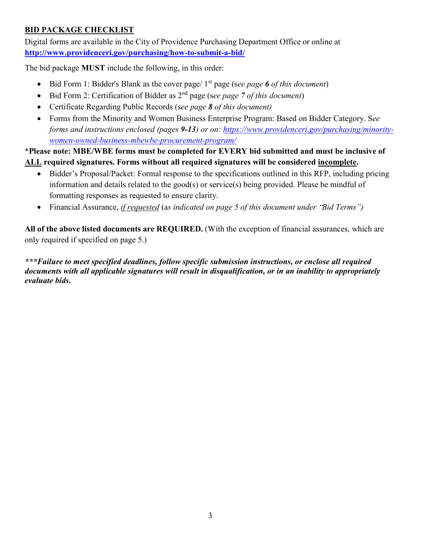# BID PACKAGE CHECKLIST

Digital forms are available in the City of Providence Purchasing Department Office or online at http://www.providenceri.gov/purchasing/how-to-submit-a-bid/

The bid package MUST include the following, in this order:

- Bid Form 1: Bidder's Blank as the cover page/  $1<sup>st</sup>$  page (see page 6 of this document)
- $\bullet$  Bid Form 2: Certification of Bidder as  $2<sup>nd</sup>$  page (see page 7 of this document)
- Certificate Regarding Public Records (see page 8 of this document)
- Forms from the Minority and Women Business Enterprise Program: Based on Bidder Category. See forms and instructions enclosed (pages 9-13) or on: https://www.providenceri.gov/purchasing/minoritywomen-owned-business-mbewbe-procurement-program/

### \*Please note: MBE/WBE forms must be completed for EVERY bid submitted and must be inclusive of ALL required signatures. Forms without all required signatures will be considered incomplete.

- Bidder's Proposal/Packet: Formal response to the specifications outlined in this RFP, including pricing information and details related to the good(s) or service(s) being provided. Please be mindful of formatting responses as requested to ensure clarity.
- Financial Assurance, *if requested* (as *indicated on page 5 of this document under "Bid Terms")*

All of the above listed documents are REQUIRED. (With the exception of financial assurances, which are only required if specified on page 5.)

\*\*\*Failure to meet specified deadlines, follow specific submission instructions, or enclose all required documents with all applicable signatures will result in disqualification, or in an inability to appropriately evaluate bids.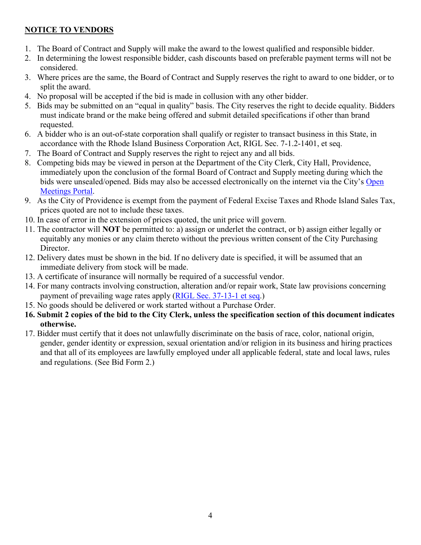### NOTICE TO VENDORS

- 1. The Board of Contract and Supply will make the award to the lowest qualified and responsible bidder.
- 2. In determining the lowest responsible bidder, cash discounts based on preferable payment terms will not be considered.
- 3. Where prices are the same, the Board of Contract and Supply reserves the right to award to one bidder, or to split the award.
- 4. No proposal will be accepted if the bid is made in collusion with any other bidder.
- 5. Bids may be submitted on an "equal in quality" basis. The City reserves the right to decide equality. Bidders must indicate brand or the make being offered and submit detailed specifications if other than brand requested.
- 6. A bidder who is an out-of-state corporation shall qualify or register to transact business in this State, in accordance with the Rhode Island Business Corporation Act, RIGL Sec. 7-1.2-1401, et seq.
- 7. The Board of Contract and Supply reserves the right to reject any and all bids.
- 8. Competing bids may be viewed in person at the Department of the City Clerk, City Hall, Providence, immediately upon the conclusion of the formal Board of Contract and Supply meeting during which the bids were unsealed/opened. Bids may also be accessed electronically on the internet via the City's Open
- Meetings Portal.<br>9. As the City of Providence is exempt from the payment of Federal Excise Taxes and Rhode Island Sales Tax, prices quoted are not to include these taxes.
- 10. In case of error in the extension of prices quoted, the unit price will govern.
- 11. The contractor will NOT be permitted to: a) assign or underlet the contract, or b) assign either legally or equitably any monies or any claim thereto without the previous written consent of the City Purchasing Director.
- 12. Delivery dates must be shown in the bid. If no delivery date is specified, it will be assumed that an immediate delivery from stock will be made.
- 13. A certificate of insurance will normally be required of a successful vendor.
- 14. For many contracts involving construction, alteration and/or repair work, State law provisions concerning payment of prevailing wage rates apply (RIGL Sec. 37-13-1 et seq.)
- 15. No goods should be delivered or work started without a Purchase Order.
- 16. Submit 2 copies of the bid to the City Clerk, unless the specification section of this document indicates otherwise.
- 17. Bidder must certify that it does not unlawfully discriminate on the basis of race, color, national origin, gender, gender identity or expression, sexual orientation and/or religion in its business and hiring practices and that all of its employees are lawfully employed under all applicable federal, state and local laws, rules and regulations. (See Bid Form 2.)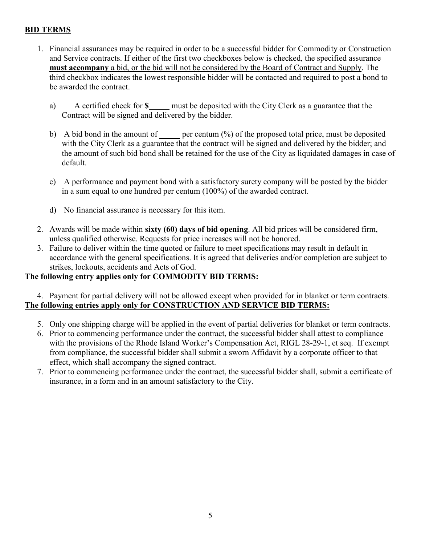### BID TERMS

- 1. Financial assurances may be required in order to be a successful bidder for Commodity or Construction and Service contracts. If either of the first two checkboxes below is checked, the specified assurance must accompany a bid, or the bid will not be considered by the Board of Contract and Supply. The third checkbox indicates the lowest responsible bidder will be contacted and required to post a bond to be awarded the contract.
	- a) A certified check for  $\frac{1}{2}$  must be deposited with the City Clerk as a guarantee that the Contract will be signed and delivered by the bidder.
	- b) A bid bond in the amount of per centum  $(\%)$  of the proposed total price, must be deposited with the City Clerk as a guarantee that the contract will be signed and delivered by the bidder; and the amount of such bid bond shall be retained for the use of the City as liquidated damages in case of default.
	- c) A performance and payment bond with a satisfactory surety company will be posted by the bidder in a sum equal to one hundred per centum (100%) of the awarded contract.
	- d) No financial assurance is necessary for this item.
- 2. Awards will be made within sixty (60) days of bid opening. All bid prices will be considered firm, unless qualified otherwise. Requests for price increases will not be honored.
- 3. Failure to deliver within the time quoted or failure to meet specifications may result in default in accordance with the general specifications. It is agreed that deliveries and/or completion are subject to strikes, lockouts, accidents and Acts of God.

### The following entry applies only for COMMODITY BID TERMS:

4. Payment for partial delivery will not be allowed except when provided for in blanket or term contracts. The following entries apply only for CONSTRUCTION AND SERVICE BID TERMS:

- 5. Only one shipping charge will be applied in the event of partial deliveries for blanket or term contracts.
- 6. Prior to commencing performance under the contract, the successful bidder shall attest to compliance with the provisions of the Rhode Island Worker's Compensation Act, RIGL 28-29-1, et seq. If exempt from compliance, the successful bidder shall submit a sworn Affidavit by a corporate officer to that effect, which shall accompany the signed contract.
- 7. Prior to commencing performance under the contract, the successful bidder shall, submit a certificate of insurance, in a form and in an amount satisfactory to the City.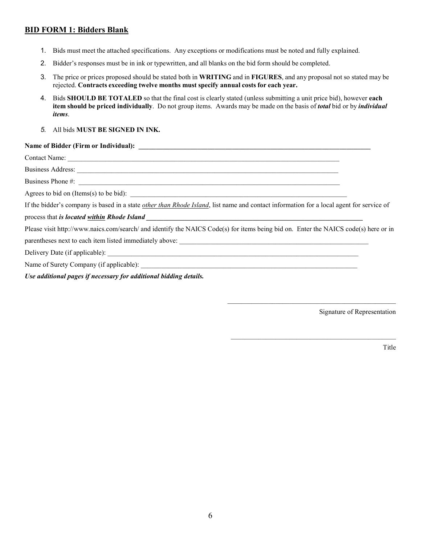#### BID FORM 1: Bidders Blank

- 1. Bids must meet the attached specifications. Any exceptions or modifications must be noted and fully explained.
- 2. Bidder's responses must be in ink or typewritten, and all blanks on the bid form should be completed.
- 3. The price or prices proposed should be stated both in WRITING and in FIGURES, and any proposal not so stated may be rejected. Contracts exceeding twelve months must specify annual costs for each year.
- 4. Bids SHOULD BE TOTALED so that the final cost is clearly stated (unless submitting a unit price bid), however each item should be priced individually. Do not group items. Awards may be made on the basis of total bid or by individual items.
- 5. All bids MUST BE SIGNED IN INK.

# Name of Bidder (Firm or Individual): \_\_\_\_\_\_\_\_\_\_\_\_\_\_\_\_\_\_\_\_\_\_\_\_\_\_\_\_\_\_\_\_\_\_\_\_\_\_\_\_\_\_\_\_\_\_\_\_\_\_\_\_\_\_\_\_\_\_\_\_\_\_\_\_\_\_\_ Contact Name: Business Address: Business Phone #: Agrees to bid on (Items(s) to be bid): If the bidder's company is based in a state *other than Rhode Island*, list name and contact information for a local agent for service of process that *is located within Rhode Island* Please visit http://www.naics.com/search/ and identify the NAICS Code(s) for items being bid on. Enter the NAICS code(s) here or in parentheses next to each item listed immediately above: Delivery Date (if applicable): Name of Surety Company (if applicable):

Use additional pages if necessary for additional bidding details.

 $\begin{tabular}{c} Signature of Representation \\ \hline \end{tabular}$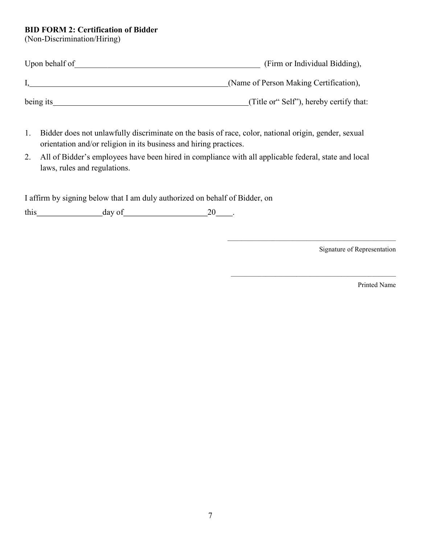#### BID FORM 2: Certification of Bidder

(Non-Discrimination/Hiring)

| Upon behalf of | (Firm or Individual Bidding),          |
|----------------|----------------------------------------|
|                | (Name of Person Making Certification), |
| being its      | (Title or Self"), hereby certify that: |

- 1. Bidder does not unlawfully discriminate on the basis of race, color, national origin, gender, sexual orientation and/or religion in its business and hiring practices.
- 2. All of Bidder's employees have been hired in compliance with all applicable federal, state and local laws, rules and regulations.

I affirm by signing below that I am duly authorized on behalf of Bidder, on

this day of 20 . \_\_\_\_\_\_\_\_\_\_\_\_\_\_\_\_\_\_\_\_\_\_\_\_\_\_\_\_\_\_\_\_\_\_\_\_\_\_\_\_\_\_\_\_\_\_\_\_\_ Signature of Representation \_\_\_\_\_\_\_\_\_\_\_\_\_\_\_\_\_\_\_\_\_\_\_\_\_\_\_\_\_\_\_\_\_\_\_\_\_\_\_\_\_\_\_\_\_\_\_\_ Printed Name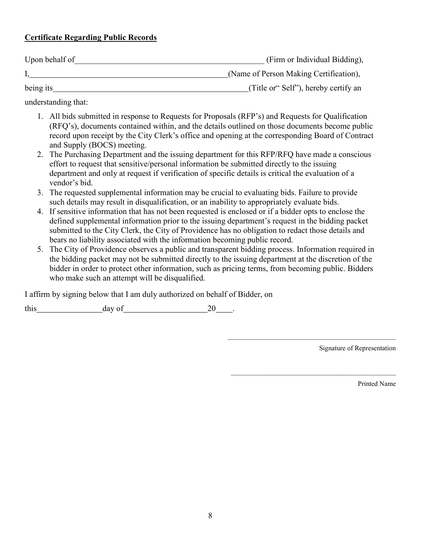#### Certificate Regarding Public Records

| Upon behalf of | (Firm or Individual Bidding),          |  |  |
|----------------|----------------------------------------|--|--|
|                | (Name of Person Making Certification), |  |  |
| being its      | (Title or Self"), hereby certify an    |  |  |

understanding that:

- 1. All bids submitted in response to Requests for Proposals (RFP's) and Requests for Qualification (RFQ's), documents contained within, and the details outlined on those documents become public record upon receipt by the City Clerk's office and opening at the corresponding Board of Contract and Supply (BOCS) meeting.
- 2. The Purchasing Department and the issuing department for this RFP/RFQ have made a conscious effort to request that sensitive/personal information be submitted directly to the issuing department and only at request if verification of specific details is critical the evaluation of a vendor's bid.
- 3. The requested supplemental information may be crucial to evaluating bids. Failure to provide such details may result in disqualification, or an inability to appropriately evaluate bids.
- 4. If sensitive information that has not been requested is enclosed or if a bidder opts to enclose the defined supplemental information prior to the issuing department's request in the bidding packet submitted to the City Clerk, the City of Providence has no obligation to redact those details and bears no liability associated with the information becoming public record.
- 5. The City of Providence observes a public and transparent bidding process. Information required in the bidding packet may not be submitted directly to the issuing department at the discretion of the bidder in order to protect other information, such as pricing terms, from becoming public. Bidders who make such an attempt will be disqualified.

I affirm by signing below that I am duly authorized on behalf of Bidder, on

this day of 20 . \_\_\_\_\_\_\_\_\_\_\_\_\_\_\_\_\_\_\_\_\_\_\_\_\_\_\_\_\_\_\_\_\_\_\_\_\_\_\_\_\_\_\_\_\_\_\_\_\_ Signature of Representation \_\_\_\_\_\_\_\_\_\_\_\_\_\_\_\_\_\_\_\_\_\_\_\_\_\_\_\_\_\_\_\_\_\_\_\_\_\_\_\_\_\_\_\_\_\_\_\_ Printed Name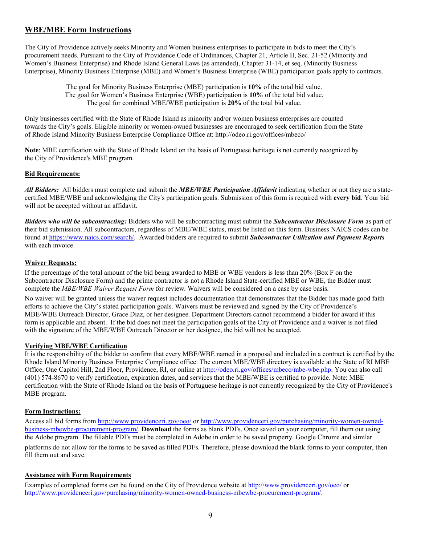#### WBE/MBE Form Instructions

The City of Providence actively seeks Minority and Women business enterprises to participate in bids to meet the City's procurement needs. Pursuant to the City of Providence Code of Ordinances, Chapter 21, Article II, Sec. 21-52 (Minority and Women's Business Enterprise) and Rhode Island General Laws (as amended), Chapter 31-14, et seq. (Minority Business Enterprise), Minority Business Enterprise (MBE) and Women's Business Enterprise (WBE) participation goals apply to contracts.

> The goal for Minority Business Enterprise (MBE) participation is 10% of the total bid value. The goal for Women's Business Enterprise (WBE) participation is 10% of the total bid value. The goal for combined MBE/WBE participation is 20% of the total bid value.

Only businesses certified with the State of Rhode Island as minority and/or women business enterprises are counted towards the City's goals. Eligible minority or women-owned businesses are encouraged to seek certification from the State of Rhode Island Minority Business Enterprise Compliance Office at: http://odeo.ri.gov/offices/mbeco/

Note: MBE certification with the State of Rhode Island on the basis of Portuguese heritage is not currently recognized by the City of Providence's MBE program.

#### Bid Requirements:

All Bidders: All bidders must complete and submit the MBE/WBE Participation Affidavit indicating whether or not they are a statecertified MBE/WBE and acknowledging the City's participation goals. Submission of this form is required with every bid. Your bid will not be accepted without an affidavit.

**Bidders who will be subcontracting:** Bidders who will be subcontracting must submit the **Subcontractor Disclosure Form** as part of their bid submission. All subcontractors, regardless of MBE/WBE status, must be listed on this form. Business NAICS codes can be found at https://www.naics.com/search/. Awarded bidders are required to submit Subcontractor Utilization and Payment Reports with each invoice.

#### Waiver Requests:

If the percentage of the total amount of the bid being awarded to MBE or WBE vendors is less than 20% (Box F on the Subcontractor Disclosure Form) and the prime contractor is not a Rhode Island State-certified MBE or WBE, the Bidder must complete the MBE/WBE Waiver Request Form for review. Waivers will be considered on a case by case basis.

No waiver will be granted unless the waiver request includes documentation that demonstrates that the Bidder has made good faith efforts to achieve the City's stated participation goals. Waivers must be reviewed and signed by the City of Providence's MBE/WBE Outreach Director, Grace Diaz, or her designee. Department Directors cannot recommend a bidder for award if this form is applicable and absent. If the bid does not meet the participation goals of the City of Providence and a waiver is not filed with the signature of the MBE/WBE Outreach Director or her designee, the bid will not be accepted.

#### Verifying MBE/WBE Certification

It is the responsibility of the bidder to confirm that every MBE/WBE named in a proposal and included in a contract is certified by the Rhode Island Minority Business Enterprise Compliance office. The current MBE/WBE directory is available at the State of RI MBE Office, One Capitol Hill, 2nd Floor, Providence, RI, or online at http://odeo.ri.gov/offices/mbeco/mbe-wbe.php. You can also call (401) 574-8670 to verify certification, expiration dates, and services that the MBE/WBE is certified to provide. Note: MBE certification with the State of Rhode Island on the basis of Portuguese heritage is not currently recognized by the City of Providence's MBE program.

#### Form Instructions:

Access all bid forms from http://www.providenceri.gov/oeo/ or http://www.providenceri.gov/purchasing/minority-women-ownedbusiness-mbewbe-procurement-program/. Download the forms as blank PDFs. Once saved on your computer, fill them out using the Adobe program. The fillable PDFs must be completed in Adobe in order to be saved property. Google Chrome and similar platforms do not allow for the forms to be saved as filled PDFs. Therefore, please download the blank forms to your computer, then fill them out and save.

#### Assistance with Form Requirements

Examples of completed forms can be found on the City of Providence website at http://www.providenceri.gov/oeo/ or http://www.providenceri.gov/purchasing/minority-women-owned-business-mbewbe-procurement-program/.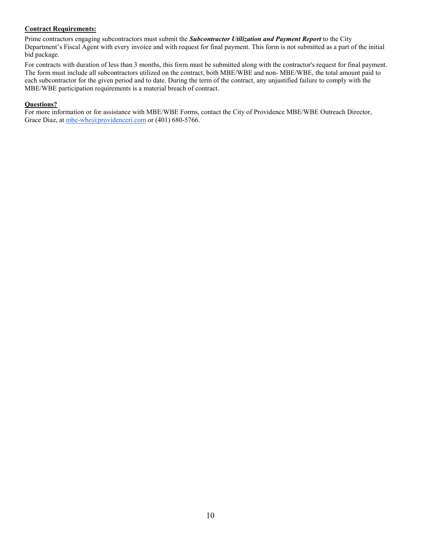#### Contract Requirements:

Prime contractors engaging subcontractors must submit the Subcontractor Utilization and Payment Report to the City Department's Fiscal Agent with every invoice and with request for final payment. This form is not submitted as a part of the initial bid package.

For contracts with duration of less than 3 months, this form must be submitted along with the contractor's request for final payment. The form must include all subcontractors utilized on the contract, both MBE/WBE and non- MBE/WBE, the total amount paid to each subcontractor for the given period and to date. During the term of the contract, any unjustified failure to comply with the MBE/WBE participation requirements is a material breach of contract.

#### Questions?

For more information or for assistance with MBE/WBE Forms, contact the City of Providence MBE/WBE Outreach Director, Grace Diaz, at mbe-wbe@providenceri.com or (401) 680-5766.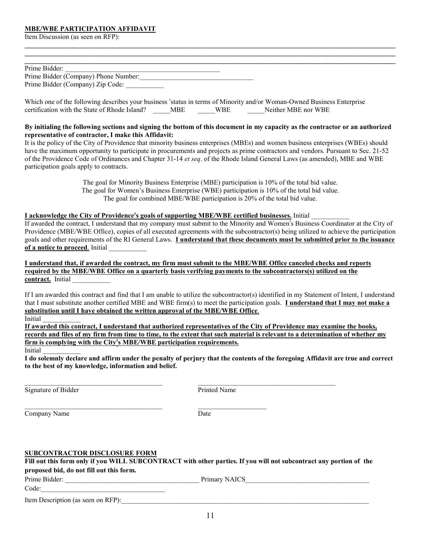#### MBE/WBE PARTICIPATION AFFIDAVIT

Item Discussion (as seen on RFP):

| Prime Bidder:                        |  |
|--------------------------------------|--|
| Prime Bidder (Company) Phone Number: |  |
| Prime Bidder (Company) Zip Code:     |  |

\_\_\_\_\_\_\_\_\_\_\_\_\_\_\_\_\_\_\_\_\_\_\_\_\_\_\_\_\_\_\_\_\_\_\_\_\_\_\_\_\_\_\_\_\_\_\_\_\_\_\_\_\_\_\_\_\_\_\_\_\_\_\_\_\_\_\_\_\_\_\_\_\_\_\_\_\_\_\_\_\_\_\_\_\_\_\_\_\_\_\_\_\_\_\_\_\_ \_\_\_\_\_\_\_\_\_\_\_\_\_\_\_\_\_\_\_\_\_\_\_\_\_\_\_\_\_\_\_\_\_\_\_\_\_\_\_\_\_\_\_\_\_\_\_\_\_\_\_\_\_\_\_\_\_\_\_\_\_\_\_\_\_\_\_\_\_\_\_\_\_\_\_\_\_\_\_\_\_\_\_\_\_\_\_\_\_\_\_\_\_\_\_\_\_

Which one of the following describes your business 'status in terms of Minority and/or Woman-Owned Business Enterprise certification with the State of Rhode Island? \_\_\_\_\_MBE \_\_\_\_\_WBE \_\_\_\_\_Neither MBE nor WBE

#### By initialing the following sections and signing the bottom of this document in my capacity as the contractor or an authorized representative of contractor, I make this Affidavit:

It is the policy of the City of Providence that minority business enterprises (MBEs) and women business enterprises (WBEs) should have the maximum opportunity to participate in procurements and projects as prime contractors and vendors. Pursuant to Sec. 21-52 of the Providence Code of Ordinances and Chapter 31-14 et seq. of the Rhode Island General Laws (as amended), MBE and WBE participation goals apply to contracts.

> The goal for Minority Business Enterprise (MBE) participation is 10% of the total bid value. The goal for Women's Business Enterprise (WBE) participation is 10% of the total bid value. The goal for combined MBE/WBE participation is 20% of the total bid value.

#### I acknowledge the City of Providence's goals of supporting MBE/WBE certified businesses. Initial \_\_\_\_\_\_\_\_\_\_\_

If awarded the contract, I understand that my company must submit to the Minority and Women's Business Coordinator at the City of Providence (MBE/WBE Office), copies of all executed agreements with the subcontractor(s) being utilized to achieve the participation goals and other requirements of the RI General Laws. I understand that these documents must be submitted prior to the issuance of a notice to proceed. Initial

#### I understand that, if awarded the contract, my firm must submit to the MBE/WBE Office canceled checks and reports required by the MBE/WBE Office on a quarterly basis verifying payments to the subcontractors(s) utilized on the contract. Initial

If I am awarded this contract and find that I am unable to utilize the subcontractor(s) identified in my Statement of Intent, I understand that I must substitute another certified MBE and WBE firm(s) to meet the participation goals. I understand that I may not make a substitution until I have obtained the written approval of the MBE/WBE Office.<br>Initial

If awarded this contract, I understand that authorized representatives of the City of Providence may examine the books, records and files of my firm from time to time, to the extent that such material is relevant to a determination of whether my firm is complying with the City's MBE/WBE participation requirements.

Initial <u>and</u> the set of the set of the set of the set of the set of the set of the set of the set of the set of the set of the set of the set of the set of the set of the set of the set of the set of the set of the set of I do solemnly declare and affirm under the penalty of perjury that the contents of the foregoing Affidavit are true and correct to the best of my knowledge, information and belief.

Signature of Bidder Printed Name

 $\_$  , and the set of the set of the set of the set of the set of the set of the set of the set of the set of the set of the set of the set of the set of the set of the set of the set of the set of the set of the set of th

Lompany Name  $\overline{\text{Comparing } \text{Date}}$ 

#### SUBCONTRACTOR DISCLOSURE FORM

Fill out this form only if you WILL SUBCONTRACT with other parties. If you will not subcontract any portion of the proposed bid, do not fill out this form.

| Prime<br>Bidder | $\mathbf{r}$ $\sim$<br>.umar |
|-----------------|------------------------------|
|-----------------|------------------------------|

Code:

Item Description (as seen on RFP):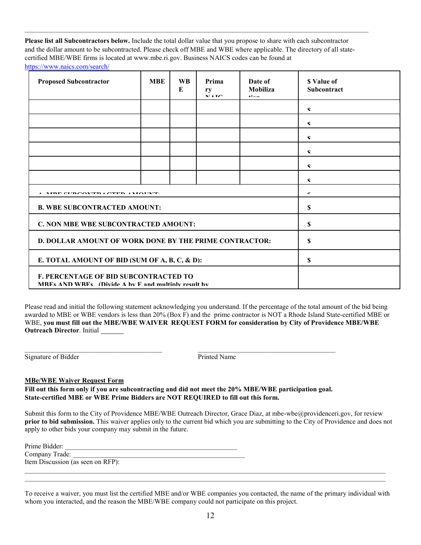Please list all Subcontractors below. Include the total dollar value that you propose to share with each subcontractor and the dollar amount to be subcontracted. Please check off MBE and WBE where applicable. The directory of all statecertified MBE/WBE firms is located at www.mbe.ri.gov. Business NAICS codes can be found at https://www.naics.com/search/

 $\_$  , and the state of the state of the state of the state of the state of the state of the state of the state of the state of the state of the state of the state of the state of the state of the state of the state of the

| <b>Proposed Subcontractor</b>                                                                | <b>MBE</b>                           | <b>WB</b><br>E | Prima<br>ry<br><b>NIATO</b> | Date of<br>Mobiliza<br>$42 - 1$ | \$ Value of<br>Subcontract |  |
|----------------------------------------------------------------------------------------------|--------------------------------------|----------------|-----------------------------|---------------------------------|----------------------------|--|
|                                                                                              |                                      |                |                             |                                 | ¢                          |  |
|                                                                                              |                                      |                |                             |                                 | ¢                          |  |
|                                                                                              |                                      |                |                             |                                 | ¢                          |  |
|                                                                                              |                                      |                |                             |                                 | ¢                          |  |
|                                                                                              |                                      |                |                             |                                 | ¢                          |  |
|                                                                                              |                                      |                |                             |                                 | $\mathbf C$                |  |
|                                                                                              | MDE CURCOMED LOTED AMOUNT            |                |                             |                                 |                            |  |
| <b>B. WBE SUBCONTRACTED AMOUNT:</b>                                                          |                                      |                |                             |                                 | S                          |  |
|                                                                                              | C. NON MBE WBE SUBCONTRACTED AMOUNT: |                |                             |                                 | \$                         |  |
| <b>D. DOLLAR AMOUNT OF WORK DONE BY THE PRIME CONTRACTOR:</b>                                |                                      |                |                             | S                               |                            |  |
| E. TOTAL AMOUNT OF BID (SUM OF A, B, C, & D):                                                |                                      |                |                             | \$                              |                            |  |
| F. PERCENTAGE OF BID SUBCONTRACTED TO<br>MREs AND WRES (Divide A by E and multiply result by |                                      |                |                             |                                 |                            |  |

Please read and initial the following statement acknowledging you understand. If the percentage of the total amount of the bid being awarded to MBE or WBE vendors is less than 20% (Box F) and the prime contractor is NOT a Rhode Island State-certified MBE or WBE, you must fill out the MBE/WBE WAIVER REQUEST FORM for consideration by City of Providence MBE/WBE Outreach Director. Initial \_\_\_\_\_\_\_\_\_\_\_\_\_\_\_\_\_\_\_\_\_\_\_\_\_\_\_\_\_\_\_\_\_\_\_\_\_\_\_\_ \_\_\_\_\_\_\_\_\_\_\_\_\_\_\_\_\_\_\_\_\_\_\_\_\_\_\_\_\_\_\_\_\_\_\_\_\_\_\_\_

Signature of Bidder Printed Name

#### MBe/WBE Waiver Request Form

Fill out this form only if you are subcontracting and did not meet the 20% MBE/WBE participation goal. State-certified MBE or WBE Prime Bidders are NOT REQUIRED to fill out this form.

Submit this form to the City of Providence MBE/WBE Outreach Director, Grace Diaz, at mbe-wbe@providenceri.gov, for review prior to bid submission. This waiver applies only to the current bid which you are submitting to the City of Providence and does not apply to other bids your company may submit in the future.

| Prime Bidder:                     |  |
|-----------------------------------|--|
| Company Trade:                    |  |
| Item Discussion (as seen on RFP): |  |

To receive a waiver, you must list the certified MBE and/or WBE companies you contacted, the name of the primary individual with whom you interacted, and the reason the MBE/WBE company could not participate on this project.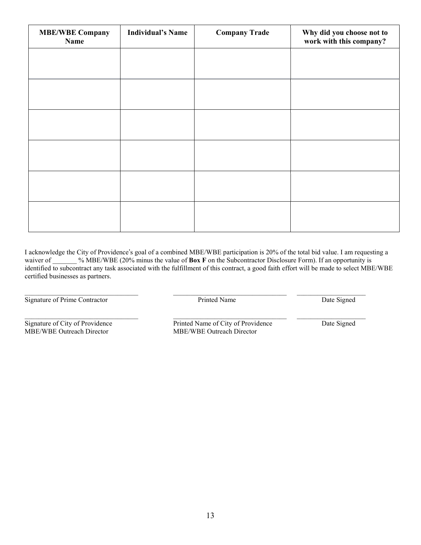| <b>MBE/WBE Company</b><br>Name | <b>Individual's Name</b> | <b>Company Trade</b> | Why did you choose not to<br>work with this company? |
|--------------------------------|--------------------------|----------------------|------------------------------------------------------|
|                                |                          |                      |                                                      |
|                                |                          |                      |                                                      |
|                                |                          |                      |                                                      |
|                                |                          |                      |                                                      |
|                                |                          |                      |                                                      |
|                                |                          |                      |                                                      |
|                                |                          |                      |                                                      |
|                                |                          |                      |                                                      |

I acknowledge the City of Providence's goal of a combined MBE/WBE participation is 20% of the total bid value. I am requesting a waiver of \_\_\_\_\_\_ % MBE/WBE (20% minus the value of **Box F** on the Subcontractor Disclosure Form). If an opportunity is identified to subcontract any task associated with the fulfillment of this contract, a good faith effort will be made to select MBE/WBE Contractor<br>
Signature of Prime Contractor<br>
Signature of City of Providence<br>
Trinted Name of City of Providence<br>
Printed Name of City of Providence<br>
Date Signed<br>
Date Signed<br>
Date Signature of City of Providence<br>
Date Signe

MBE/WBE Outreach Director MBE/WBE Outreach Director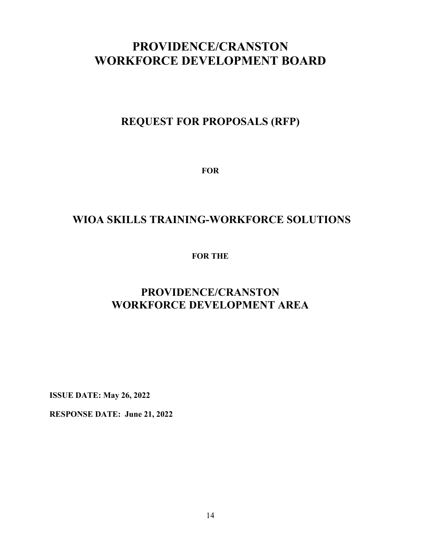# PROVIDENCE/CRANSTON WORKFORCE DEVELOPMENT BOARD

# REQUEST FOR PROPOSALS (RFP)

FOR

# WIOA SKILLS TRAINING-WORKFORCE SOLUTIONS

FOR THE

# PROVIDENCE/CRANSTON WORKFORCE DEVELOPMENT AREA

ISSUE DATE: May 26, 2022

RESPONSE DATE: June 21, 2022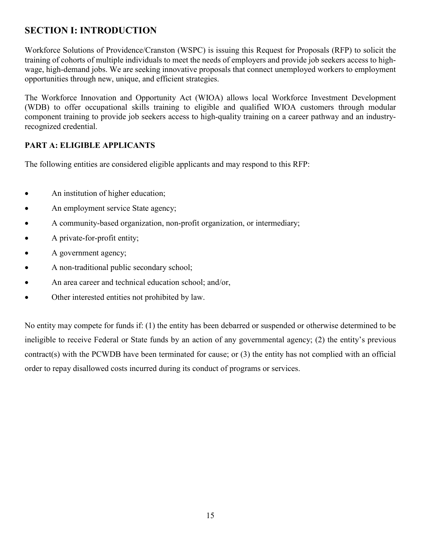# SECTION I: INTRODUCTION

 Workforce Solutions of Providence/Cranston (WSPC) is issuing this Request for Proposals (RFP) to solicit the training of cohorts of multiple individuals to meet the needs of employers and provide job seekers access to highwage, high-demand jobs. We are seeking innovative proposals that connect unemployed workers to employment opportunities through new, unique, and efficient strategies.

The Workforce Innovation and Opportunity Act (WIOA) allows local Workforce Investment Development (WDB) to offer occupational skills training to eligible and qualified WIOA customers through modular component training to provide job seekers access to high-quality training on a career pathway and an industryrecognized credential.

### PART A: ELIGIBLE APPLICANTS

The following entities are considered eligible applicants and may respond to this RFP:

- An institution of higher education;
- An employment service State agency;
- A community-based organization, non-profit organization, or intermediary;
- A private-for-profit entity;
- A government agency;
- A non-traditional public secondary school;
- An area career and technical education school; and/or,
- Other interested entities not prohibited by law.

No entity may compete for funds if: (1) the entity has been debarred or suspended or otherwise determined to be ineligible to receive Federal or State funds by an action of any governmental agency; (2) the entity's previous contract(s) with the PCWDB have been terminated for cause; or (3) the entity has not complied with an official order to repay disallowed costs incurred during its conduct of programs or services.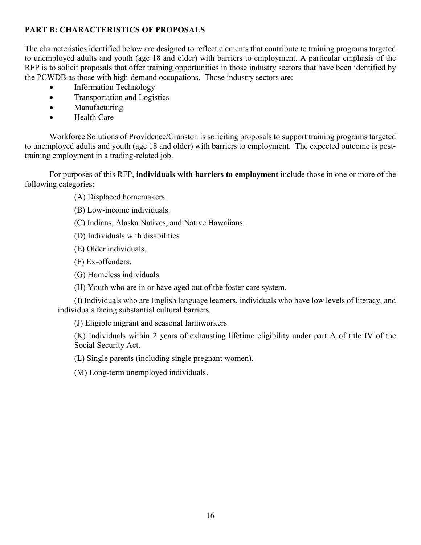### PART B: CHARACTERISTICS OF PROPOSALS

 The characteristics identified below are designed to reflect elements that contribute to training programs targeted to unemployed adults and youth (age 18 and older) with barriers to employment. A particular emphasis of the RFP is to solicit proposals that offer training opportunities in those industry sectors that have been identified by the PCWDB as those with high-demand occupations. Those industry sectors are:

- Information Technology
- Transportation and Logistics
- Manufacturing
- Health Care

 Workforce Solutions of Providence/Cranston is soliciting proposals to support training programs targeted to unemployed adults and youth (age 18 and older) with barriers to employment. The expected outcome is posttraining employment in a trading-related job.

 For purposes of this RFP, individuals with barriers to employment include those in one or more of the following categories:

(A) Displaced homemakers.

(B) Low-income individuals.

- (C) Indians, Alaska Natives, and Native Hawaiians.
- (D) Individuals with disabilities

(E) Older individuals.

(F) Ex-offenders.

(G) Homeless individuals

(H) Youth who are in or have aged out of the foster care system.

(I) Individuals who are English language learners, individuals who have low levels of literacy, and individuals facing substantial cultural barriers.

(J) Eligible migrant and seasonal farmworkers.

(K) Individuals within 2 years of exhausting lifetime eligibility under part A of title IV of the Social Security Act.

(L) Single parents (including single pregnant women).

(M) Long-term unemployed individuals.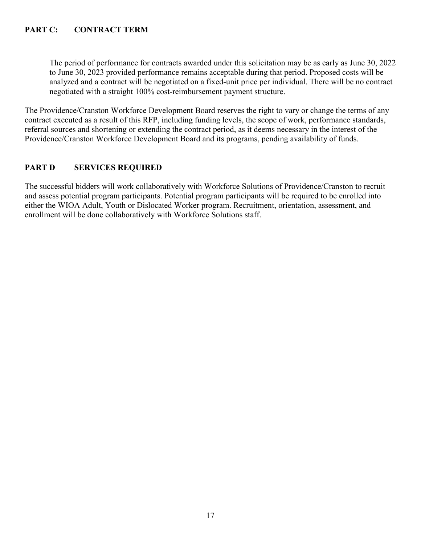#### PART C: CONTRACT TERM

The period of performance for contracts awarded under this solicitation may be as early as June 30, 2022 to June 30, 2023 provided performance remains acceptable during that period. Proposed costs will be analyzed and a contract will be negotiated on a fixed-unit price per individual. There will be no contract negotiated with a straight 100% cost-reimbursement payment structure.

The Providence/Cranston Workforce Development Board reserves the right to vary or change the terms of any contract executed as a result of this RFP, including funding levels, the scope of work, performance standards, referral sources and shortening or extending the contract period, as it deems necessary in the interest of the Providence/Cranston Workforce Development Board and its programs, pending availability of funds.

#### PART D SERVICES REQUIRED

The successful bidders will work collaboratively with Workforce Solutions of Providence/Cranston to recruit and assess potential program participants. Potential program participants will be required to be enrolled into either the WIOA Adult, Youth or Dislocated Worker program. Recruitment, orientation, assessment, and enrollment will be done collaboratively with Workforce Solutions staff.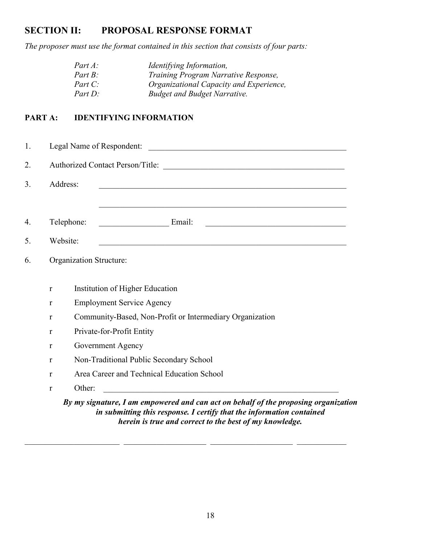# SECTION II: PROPOSAL RESPONSE FORMAT

The proposer must use the format contained in this section that consists of four parts:

| Part A: | <i>Identifying Information,</i>         |
|---------|-----------------------------------------|
| Part B: | Training Program Narrative Response,    |
| Part C: | Organizational Capacity and Experience, |
| Part D: | <b>Budget and Budget Narrative.</b>     |

#### PART A: **IDENTIFYING INFORMATION**

| 1. | Legal Name of Respondent:                                                                                                        |                                                                                     |  |  |  |  |  |
|----|----------------------------------------------------------------------------------------------------------------------------------|-------------------------------------------------------------------------------------|--|--|--|--|--|
| 2. |                                                                                                                                  |                                                                                     |  |  |  |  |  |
| 3. | Address:<br><u> 1989 - Jan James James James James James James James James James James James James James James James James J</u> |                                                                                     |  |  |  |  |  |
|    |                                                                                                                                  | <u> 1989 - Johann Stoff, amerikansk politiker (d. 1989)</u>                         |  |  |  |  |  |
| 4. | Email:<br>Telephone:<br><u> 2008 - Johann John Stone, mars et al. (2008)</u>                                                     |                                                                                     |  |  |  |  |  |
| 5. | Website:<br><u> 1989 - Jan James James Barnett, martin de filosofoar (h. 1989).</u>                                              |                                                                                     |  |  |  |  |  |
| 6. | Organization Structure:                                                                                                          |                                                                                     |  |  |  |  |  |
|    | $\mathbf{r}$                                                                                                                     | Institution of Higher Education                                                     |  |  |  |  |  |
|    | <b>Employment Service Agency</b><br>$\mathbf{r}$                                                                                 |                                                                                     |  |  |  |  |  |
|    | Community-Based, Non-Profit or Intermediary Organization<br>$\mathbf r$                                                          |                                                                                     |  |  |  |  |  |
|    | Private-for-Profit Entity<br>r                                                                                                   |                                                                                     |  |  |  |  |  |
|    | Government Agency<br>r                                                                                                           |                                                                                     |  |  |  |  |  |
|    | Non-Traditional Public Secondary School<br>$\mathbf r$                                                                           |                                                                                     |  |  |  |  |  |
|    | Area Career and Technical Education School<br>r                                                                                  |                                                                                     |  |  |  |  |  |
|    | $\mathbf{r}$                                                                                                                     | Other:<br><u> 1980 - Jan Barbara, martxa al II-lea (h. 1980).</u>                   |  |  |  |  |  |
|    |                                                                                                                                  | By my signature, I am empowered and can act on behalf of the proposing organization |  |  |  |  |  |

herein is true and correct to the best of my knowledge.

in submitting this response. I certify that the information contained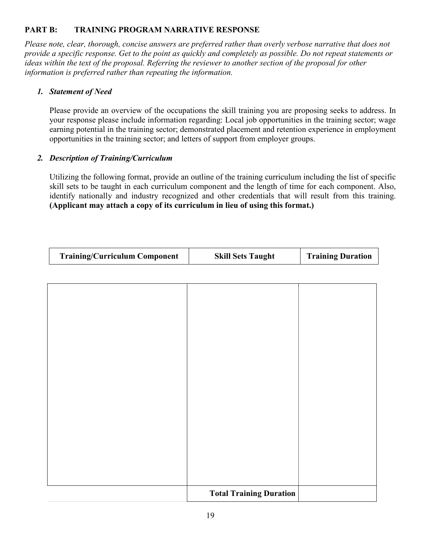### PART B: TRAINING PROGRAM NARRATIVE RESPONSE

Please note, clear, thorough, concise answers are preferred rather than overly verbose narrative that does not provide a specific response. Get to the point as quickly and completely as possible. Do not repeat statements or ideas within the text of the proposal. Referring the reviewer to another section of the proposal for other information is preferred rather than repeating the information.

#### 1. Statement of Need

Please provide an overview of the occupations the skill training you are proposing seeks to address. In your response please include information regarding: Local job opportunities in the training sector; wage earning potential in the training sector; demonstrated placement and retention experience in employment opportunities in the training sector; and letters of support from employer groups.

#### 2. Description of Training/Curriculum

Utilizing the following format, provide an outline of the training curriculum including the list of specific skill sets to be taught in each curriculum component and the length of time for each component. Also, identify nationally and industry recognized and other credentials that will result from this training. (Applicant may attach a copy of its curriculum in lieu of using this format.)

|--|

| <b>Total Training Duration</b> |  |
|--------------------------------|--|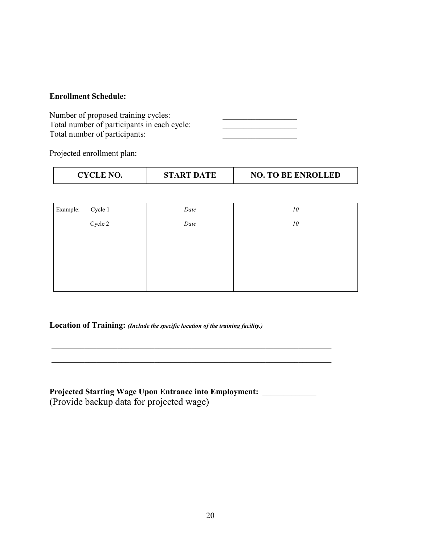#### Enrollment Schedule:

| Number of proposed training cycles:         |  |
|---------------------------------------------|--|
| Total number of participants in each cycle: |  |
| Total number of participants:               |  |

Projected enrollment plan:

| <b>CYCLE NO.</b> | <b>START DATE</b> | <b>NO. TO BE ENROLLED</b> |
|------------------|-------------------|---------------------------|
|                  |                   |                           |

| Example: | Cycle 1 | Date | 10 |
|----------|---------|------|----|
|          | Cycle 2 | Date | 10 |
|          |         |      |    |
|          |         |      |    |
|          |         |      |    |
|          |         |      |    |
|          |         |      |    |

Location of Training: (Include the specific location of the training facility.)

Projected Starting Wage Upon Entrance into Employment: \_\_\_\_\_\_\_\_\_\_\_\_\_\_\_\_\_\_\_\_\_\_\_\_\_ (Provide backup data for projected wage)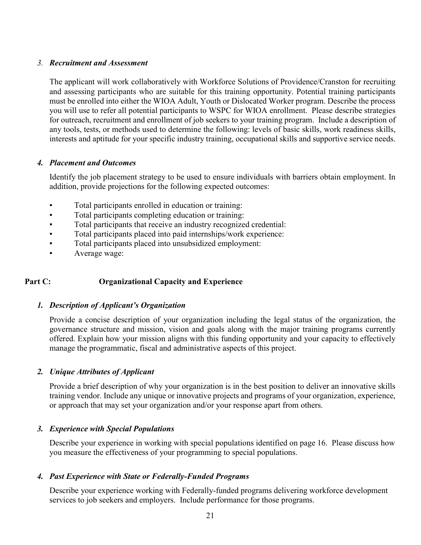#### 3. Recruitment and Assessment

The applicant will work collaboratively with Workforce Solutions of Providence/Cranston for recruiting and assessing participants who are suitable for this training opportunity. Potential training participants must be enrolled into either the WIOA Adult, Youth or Dislocated Worker program. Describe the process you will use to refer all potential participants to WSPC for WIOA enrollment. Please describe strategies for outreach, recruitment and enrollment of job seekers to your training program. Include a description of any tools, tests, or methods used to determine the following: levels of basic skills, work readiness skills, interests and aptitude for your specific industry training, occupational skills and supportive service needs.

#### 4. Placement and Outcomes

Identify the job placement strategy to be used to ensure individuals with barriers obtain employment. In addition, provide projections for the following expected outcomes:

- Total participants enrolled in education or training:
- Total participants completing education or training:
- Total participants that receive an industry recognized credential:
- Total participants placed into paid internships/work experience:
- Total participants placed into unsubsidized employment:
- Average wage:

#### Part C: **Organizational Capacity and Experience**

#### 1. Description of Applicant's Organization

Provide a concise description of your organization including the legal status of the organization, the governance structure and mission, vision and goals along with the major training programs currently offered. Explain how your mission aligns with this funding opportunity and your capacity to effectively manage the programmatic, fiscal and administrative aspects of this project.

#### 2. Unique Attributes of Applicant

Provide a brief description of why your organization is in the best position to deliver an innovative skills training vendor. Include any unique or innovative projects and programs of your organization, experience, or approach that may set your organization and/or your response apart from others.

#### 3. Experience with Special Populations

Describe your experience in working with special populations identified on page 16. Please discuss how you measure the effectiveness of your programming to special populations.

#### 4. Past Experience with State or Federally-Funded Programs

Describe your experience working with Federally-funded programs delivering workforce development services to job seekers and employers. Include performance for those programs.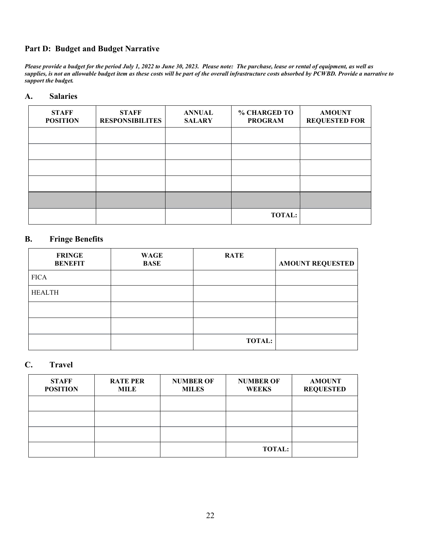#### Part D: Budget and Budget Narrative

Please provide a budget for the period July 1, 2022 to June 30, 2023. Please note: The purchase, lease or rental of equipment, as well as supplies, is not an allowable budget item as these costs will be part of the overall infrastructure costs absorbed by PCWBD. Provide a narrative to support the budget.

#### A. Salaries

| <b>STAFF</b><br><b>POSITION</b> | <b>STAFF</b><br><b>RESPONSIBILITES</b> | <b>ANNUAL</b><br><b>SALARY</b> | % CHARGED TO<br><b>PROGRAM</b> | <b>AMOUNT</b><br><b>REQUESTED FOR</b> |
|---------------------------------|----------------------------------------|--------------------------------|--------------------------------|---------------------------------------|
|                                 |                                        |                                |                                |                                       |
|                                 |                                        |                                |                                |                                       |
|                                 |                                        |                                |                                |                                       |
|                                 |                                        |                                |                                |                                       |
|                                 |                                        |                                |                                |                                       |
|                                 |                                        |                                | <b>TOTAL:</b>                  |                                       |

#### B. Fringe Benefits

| <b>FRINGE</b><br><b>BENEFIT</b> | <b>WAGE</b><br><b>BASE</b> | <b>RATE</b>   | <b>AMOUNT REQUESTED</b> |
|---------------------------------|----------------------------|---------------|-------------------------|
| <b>FICA</b>                     |                            |               |                         |
| <b>HEALTH</b>                   |                            |               |                         |
|                                 |                            |               |                         |
|                                 |                            |               |                         |
|                                 |                            | <b>TOTAL:</b> |                         |

#### C. Travel

| <b>STAFF</b><br><b>POSITION</b> | <b>RATE PER</b><br><b>MILE</b> | <b>NUMBER OF</b><br><b>MILES</b> | <b>NUMBER OF</b><br><b>WEEKS</b> | <b>AMOUNT</b><br><b>REQUESTED</b> |
|---------------------------------|--------------------------------|----------------------------------|----------------------------------|-----------------------------------|
|                                 |                                |                                  |                                  |                                   |
|                                 |                                |                                  |                                  |                                   |
|                                 |                                |                                  |                                  |                                   |
|                                 |                                |                                  | <b>TOTAL:</b>                    |                                   |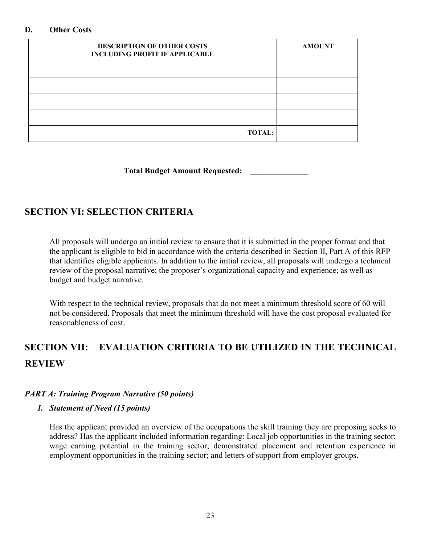#### D. Other Costs

| <b>DESCRIPTION OF OTHER COSTS</b><br><b>INCLUDING PROFIT IF APPLICABLE</b> | <b>AMOUNT</b> |
|----------------------------------------------------------------------------|---------------|
|                                                                            |               |
|                                                                            |               |
|                                                                            |               |
|                                                                            |               |
| <b>TOTAL:</b>                                                              |               |

Total Budget Amount Requested: \_\_\_\_\_\_\_\_\_\_\_\_\_\_

# SECTION VI: SELECTION CRITERIA

All proposals will undergo an initial review to ensure that it is submitted in the proper format and that the applicant is eligible to bid in accordance with the criteria described in Section II, Part A of this RFP that identifies eligible applicants. In addition to the initial review, all proposals will undergo a technical review of the proposal narrative; the proposer's organizational capacity and experience; as well as budget and budget narrative.

With respect to the technical review, proposals that do not meet a minimum threshold score of 60 will not be considered. Proposals that meet the minimum threshold will have the cost proposal evaluated for reasonableness of cost.

# SECTION VII: EVALUATION CRITERIA TO BE UTILIZED IN THE TECHNICAL REVIEW

#### PART A: Training Program Narrative (50 points)

#### 1. Statement of Need (15 points)

Has the applicant provided an overview of the occupations the skill training they are proposing seeks to address? Has the applicant included information regarding: Local job opportunities in the training sector; wage earning potential in the training sector; demonstrated placement and retention experience in employment opportunities in the training sector; and letters of support from employer groups.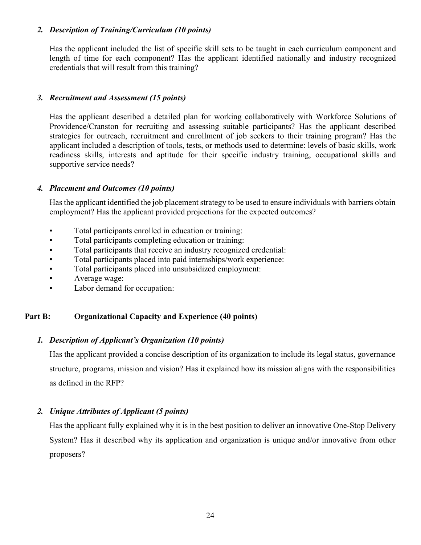#### 2. Description of Training/Curriculum (10 points)

Has the applicant included the list of specific skill sets to be taught in each curriculum component and length of time for each component? Has the applicant identified nationally and industry recognized credentials that will result from this training?

#### 3. Recruitment and Assessment (15 points)

Has the applicant described a detailed plan for working collaboratively with Workforce Solutions of Providence/Cranston for recruiting and assessing suitable participants? Has the applicant described strategies for outreach, recruitment and enrollment of job seekers to their training program? Has the applicant included a description of tools, tests, or methods used to determine: levels of basic skills, work readiness skills, interests and aptitude for their specific industry training, occupational skills and supportive service needs?

#### 4. Placement and Outcomes (10 points)

Has the applicant identified the job placement strategy to be used to ensure individuals with barriers obtain employment? Has the applicant provided projections for the expected outcomes?

- Total participants enrolled in education or training:
- Total participants completing education or training:
- Total participants that receive an industry recognized credential:
- Total participants placed into paid internships/work experience:
- Total participants placed into unsubsidized employment:
- Average wage:
- Labor demand for occupation:

#### Part B: Organizational Capacity and Experience (40 points)

#### 1. Description of Applicant's Organization (10 points)

Has the applicant provided a concise description of its organization to include its legal status, governance structure, programs, mission and vision? Has it explained how its mission aligns with the responsibilities as defined in the RFP?

#### 2. Unique Attributes of Applicant (5 points)

Has the applicant fully explained why it is in the best position to deliver an innovative One-Stop Delivery System? Has it described why its application and organization is unique and/or innovative from other proposers?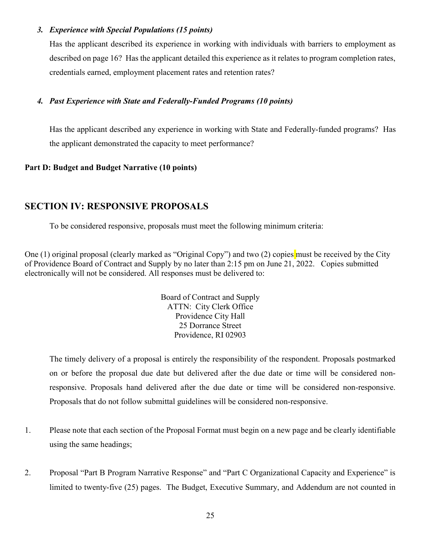#### 3. Experience with Special Populations (15 points)

Has the applicant described its experience in working with individuals with barriers to employment as described on page 16? Has the applicant detailed this experience as it relates to program completion rates, credentials earned, employment placement rates and retention rates?

#### 4. Past Experience with State and Federally-Funded Programs (10 points)

Has the applicant described any experience in working with State and Federally-funded programs? Has the applicant demonstrated the capacity to meet performance?

#### Part D: Budget and Budget Narrative (10 points)

### SECTION IV: RESPONSIVE PROPOSALS

To be considered responsive, proposals must meet the following minimum criteria:

One (1) original proposal (clearly marked as "Original Copy") and two (2) copies must be received by the City of Providence Board of Contract and Supply by no later than 2:15 pm on June 21, 2022. Copies submitted electronically will not be considered. All responses must be delivered to:

> Board of Contract and Supply ATTN: City Clerk Office Providence City Hall 25 Dorrance Street Providence, RI 02903

The timely delivery of a proposal is entirely the responsibility of the respondent. Proposals postmarked on or before the proposal due date but delivered after the due date or time will be considered nonresponsive. Proposals hand delivered after the due date or time will be considered non-responsive. Proposals that do not follow submittal guidelines will be considered non-responsive.

- 1. Please note that each section of the Proposal Format must begin on a new page and be clearly identifiable using the same headings;
- 2. Proposal "Part B Program Narrative Response" and "Part C Organizational Capacity and Experience" is limited to twenty-five (25) pages. The Budget, Executive Summary, and Addendum are not counted in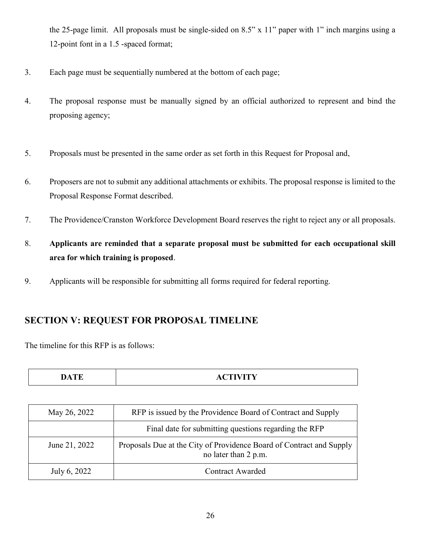the 25-page limit. All proposals must be single-sided on 8.5" x 11" paper with 1" inch margins using a 12-point font in a 1.5 -spaced format;

- 3. Each page must be sequentially numbered at the bottom of each page;
- 4. The proposal response must be manually signed by an official authorized to represent and bind the proposing agency;
- 5. Proposals must be presented in the same order as set forth in this Request for Proposal and,
- 6. Proposers are not to submit any additional attachments or exhibits. The proposal response is limited to the Proposal Response Format described.
- 7. The Providence/Cranston Workforce Development Board reserves the right to reject any or all proposals.
- 8. Applicants are reminded that a separate proposal must be submitted for each occupational skill area for which training is proposed.
- 9. Applicants will be responsible for submitting all forms required for federal reporting.

# SECTION V: REQUEST FOR PROPOSAL TIMELINE

The timeline for this RFP is as follows:

| L<br>110111111111 |  |
|-------------------|--|
|-------------------|--|

| May 26, 2022  | RFP is issued by the Providence Board of Contract and Supply                                 |  |
|---------------|----------------------------------------------------------------------------------------------|--|
|               | Final date for submitting questions regarding the RFP                                        |  |
| June 21, 2022 | Proposals Due at the City of Providence Board of Contract and Supply<br>no later than 2 p.m. |  |
| July 6, 2022  | <b>Contract Awarded</b>                                                                      |  |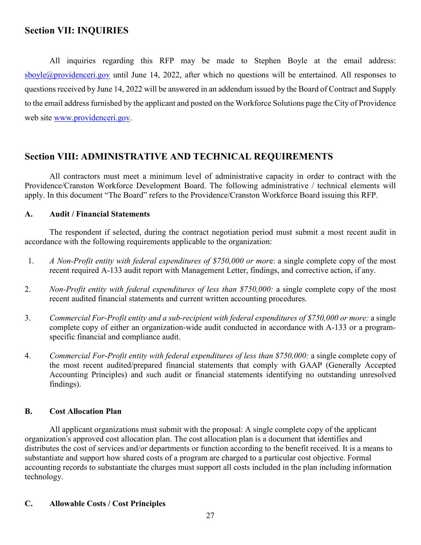### Section VII: INQUIRIES

All inquiries regarding this RFP may be made to Stephen Boyle at the email address: sboyle@providenceri.gov until June 14, 2022, after which no questions will be entertained. All responses to questions received by June 14, 2022 will be answered in an addendum issued by the Board of Contract and Supply to the email address furnished by the applicant and posted on the Workforce Solutions page the City of Providence web site www.providenceri.gov.

# Section VIII: ADMINISTRATIVE AND TECHNICAL REQUIREMENTS

 All contractors must meet a minimum level of administrative capacity in order to contract with the Providence/Cranston Workforce Development Board. The following administrative / technical elements will apply. In this document "The Board" refers to the Providence/Cranston Workforce Board issuing this RFP.

#### A. Audit / Financial Statements

 The respondent if selected, during the contract negotiation period must submit a most recent audit in accordance with the following requirements applicable to the organization:

- 1. A Non-Profit entity with federal expenditures of \$750,000 or more: a single complete copy of the most recent required A-133 audit report with Management Letter, findings, and corrective action, if any.
- 2. Non-Profit entity with federal expenditures of less than \$750,000: a single complete copy of the most recent audited financial statements and current written accounting procedures.
- 3. Commercial For-Profit entity and a sub-recipient with federal expenditures of \$750,000 or more: a single complete copy of either an organization-wide audit conducted in accordance with A-133 or a programspecific financial and compliance audit.
- 4. Commercial For-Profit entity with federal expenditures of less than \$750,000: a single complete copy of the most recent audited/prepared financial statements that comply with GAAP (Generally Accepted Accounting Principles) and such audit or financial statements identifying no outstanding unresolved findings).

#### B. Cost Allocation Plan

 All applicant organizations must submit with the proposal: A single complete copy of the applicant organization's approved cost allocation plan. The cost allocation plan is a document that identifies and distributes the cost of services and/or departments or function according to the benefit received. It is a means to substantiate and support how shared costs of a program are charged to a particular cost objective. Formal accounting records to substantiate the charges must support all costs included in the plan including information technology.

#### C. Allowable Costs / Cost Principles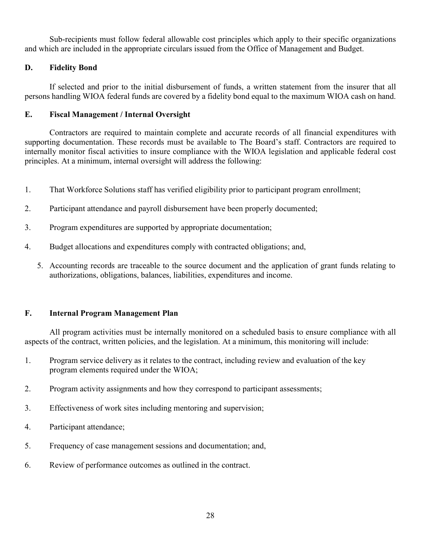Sub-recipients must follow federal allowable cost principles which apply to their specific organizations and which are included in the appropriate circulars issued from the Office of Management and Budget.

#### D. Fidelity Bond

 If selected and prior to the initial disbursement of funds, a written statement from the insurer that all persons handling WIOA federal funds are covered by a fidelity bond equal to the maximum WIOA cash on hand.

#### E. Fiscal Management / Internal Oversight

 Contractors are required to maintain complete and accurate records of all financial expenditures with supporting documentation. These records must be available to The Board's staff. Contractors are required to internally monitor fiscal activities to insure compliance with the WIOA legislation and applicable federal cost principles. At a minimum, internal oversight will address the following:

- 1. That Workforce Solutions staff has verified eligibility prior to participant program enrollment;
- 2. Participant attendance and payroll disbursement have been properly documented;
- 3. Program expenditures are supported by appropriate documentation;
- 4. Budget allocations and expenditures comply with contracted obligations; and,
	- 5. Accounting records are traceable to the source document and the application of grant funds relating to authorizations, obligations, balances, liabilities, expenditures and income.

#### F. Internal Program Management Plan

 All program activities must be internally monitored on a scheduled basis to ensure compliance with all aspects of the contract, written policies, and the legislation. At a minimum, this monitoring will include:

- 1. Program service delivery as it relates to the contract, including review and evaluation of the key program elements required under the WIOA;
- 2. Program activity assignments and how they correspond to participant assessments;
- 3. Effectiveness of work sites including mentoring and supervision;
- 4. Participant attendance;
- 5. Frequency of case management sessions and documentation; and,
- 6. Review of performance outcomes as outlined in the contract.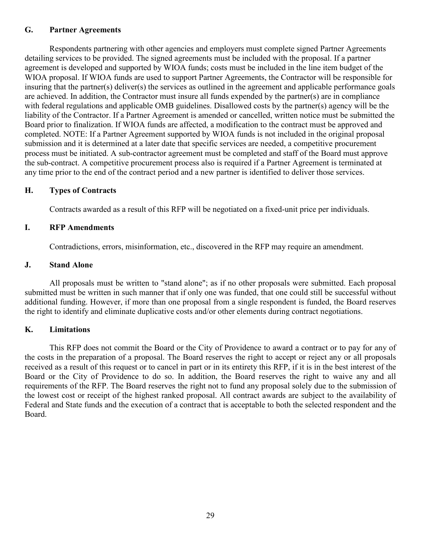#### G. Partner Agreements

Respondents partnering with other agencies and employers must complete signed Partner Agreements detailing services to be provided. The signed agreements must be included with the proposal. If a partner agreement is developed and supported by WIOA funds; costs must be included in the line item budget of the WIOA proposal. If WIOA funds are used to support Partner Agreements, the Contractor will be responsible for insuring that the partner(s) deliver(s) the services as outlined in the agreement and applicable performance goals are achieved. In addition, the Contractor must insure all funds expended by the partner(s) are in compliance with federal regulations and applicable OMB guidelines. Disallowed costs by the partner(s) agency will be the liability of the Contractor. If a Partner Agreement is amended or cancelled, written notice must be submitted the Board prior to finalization. If WIOA funds are affected, a modification to the contract must be approved and completed. NOTE: If a Partner Agreement supported by WIOA funds is not included in the original proposal submission and it is determined at a later date that specific services are needed, a competitive procurement process must be initiated. A sub-contractor agreement must be completed and staff of the Board must approve the sub-contract. A competitive procurement process also is required if a Partner Agreement is terminated at any time prior to the end of the contract period and a new partner is identified to deliver those services.

#### H. Types of Contracts

Contracts awarded as a result of this RFP will be negotiated on a fixed-unit price per individuals.

#### I. RFP Amendments

Contradictions, errors, misinformation, etc., discovered in the RFP may require an amendment.

#### J. Stand Alone

 All proposals must be written to "stand alone"; as if no other proposals were submitted. Each proposal submitted must be written in such manner that if only one was funded, that one could still be successful without additional funding. However, if more than one proposal from a single respondent is funded, the Board reserves the right to identify and eliminate duplicative costs and/or other elements during contract negotiations.

#### K. Limitations

 This RFP does not commit the Board or the City of Providence to award a contract or to pay for any of the costs in the preparation of a proposal. The Board reserves the right to accept or reject any or all proposals received as a result of this request or to cancel in part or in its entirety this RFP, if it is in the best interest of the Board or the City of Providence to do so. In addition, the Board reserves the right to waive any and all requirements of the RFP. The Board reserves the right not to fund any proposal solely due to the submission of the lowest cost or receipt of the highest ranked proposal. All contract awards are subject to the availability of Federal and State funds and the execution of a contract that is acceptable to both the selected respondent and the Board.